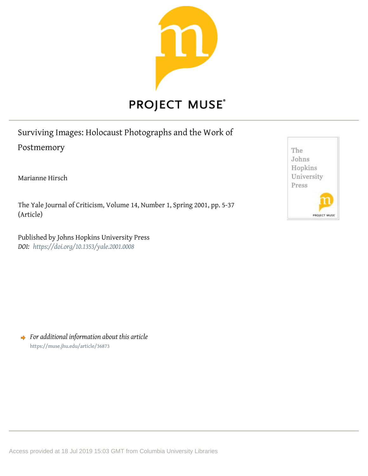

Surviving Images: Holocaust Photographs and the Work of

Postmemory

Marianne Hirsch

The Yale Journal of Criticism, Volume 14, Number 1, Spring 2001, pp. 5-37 (Article)

Published by Johns Hopkins University Press *DOI: <https://doi.org/10.1353/yale.2001.0008>*

The Johns Hopkins University Press **PROJECT MUSE** 

*For additional information about this article* <https://muse.jhu.edu/article/36873>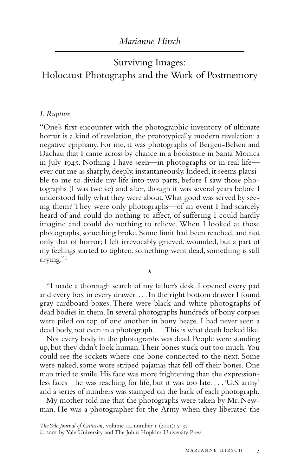# Surviving Images: Holocaust Photographs and the Work of Postmemory

#### *I. Rupture*

"One's first encounter with the photographic inventory of ultimate horror is a kind of revelation, the prototypically modern revelation: a negative epiphany. For me, it was photographs of Bergen-Belsen and Dachau that I came across by chance in a bookstore in Santa Monica in July 1945. Nothing I have seen—in photographs or in real life ever cut me as sharply, deeply, instantaneously. Indeed, it seems plausible to me to divide my life into two parts, before I saw those photographs (I was twelve) and after, though it was several years before I understood fully what they were about.What good was served by seeing them? They were only photographs—of an event I had scarcely heard of and could do nothing to affect, of suffering I could hardly imagine and could do nothing to relieve. When I looked at those photographs, something broke. Some limit had been reached, and not only that of horror; I felt irrevocably grieved, wounded, but a part of my feelings started to tighten; something went dead, something is still crying."1

"I made a thorough search of my father's desk. I opened every pad and every box in every drawer. . . . In the right bottom drawer I found gray cardboard boxes. There were black and white photographs of dead bodies in them. In several photographs hundreds of bony corpses were piled on top of one another in bony heaps. I had never seen a dead body,not even in a photograph....This is what death looked like.

\*

Not every body in the photographs was dead. People were standing up, but they didn't look human.Their bones stuck out too much.You could see the sockets where one bone connected to the next. Some were naked, some wore striped pajamas that fell off their bones. One man tried to smile. His face was more frightening than the expressionless faces—he was reaching for life, but it was too late. . . .'U.S. army' and a series of numbers was stamped on the back of each photograph.

My mother told me that the photographs were taken by Mr. Newman. He was a photographer for the Army when they liberated the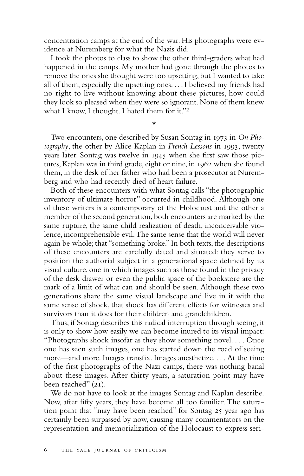concentration camps at the end of the war. His photographs were evidence at Nuremberg for what the Nazis did.

I took the photos to class to show the other third-graders what had happened in the camps. My mother had gone through the photos to remove the ones she thought were too upsetting, but I wanted to take all of them, especially the upsetting ones. . . . I believed my friends had no right to live without knowing about these pictures, how could they look so pleased when they were so ignorant. None of them knew what I know, I thought. I hated them for it."2

\*

Two encounters, one described by Susan Sontag in 1973 in On Photography, the other by Alice Kaplan in *French Lessons* in 1993, twenty years later. Sontag was twelve in 1945 when she first saw those pictures, Kaplan was in third grade, eight or nine, in 1962 when she found them, in the desk of her father who had been a prosecutor at Nuremberg and who had recently died of heart failure.

Both of these encounters with what Sontag calls "the photographic inventory of ultimate horror" occurred in childhood. Although one of these writers is a contemporary of the Holocaust and the other a member of the second generation, both encounters are marked by the same rupture, the same child realization of death, inconceivable violence, incomprehensible evil.The same sense that the world will never again be whole; that "something broke." In both texts, the descriptions of these encounters are carefully dated and situated: they serve to position the authorial subject in a generational space defined by its visual culture, one in which images such as those found in the privacy of the desk drawer or even the public space of the bookstore are the mark of a limit of what can and should be seen. Although these two generations share the same visual landscape and live in it with the same sense of shock, that shock has different effects for witnesses and survivors than it does for their children and grandchildren.

Thus, if Sontag describes this radical interruption through seeing, it is only to show how easily we can become inured to its visual impact: "Photographs shock insofar as they show something novel. . . . Once one has seen such images, one has started down the road of seeing more—and more. Images transfix. Images anesthetize. . . . At the time of the first photographs of the Nazi camps, there was nothing banal about these images. After thirty years, a saturation point may have been reached"  $(2I)$ .

We do not have to look at the images Sontag and Kaplan describe. Now, after fifty years, they have become all too familiar. The saturation point that "may have been reached" for Sontag 25 year ago has certainly been surpassed by now, causing many commentators on the representation and memorialization of the Holocaust to express seri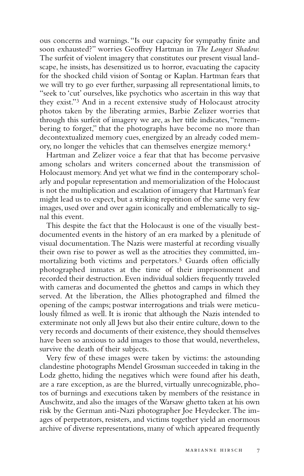ous concerns and warnings."Is our capacity for sympathy finite and soon exhausted?" worries Geoffrey Hartman in *The Longest Shadow.* The surfeit of violent imagery that constitutes our present visual landscape, he insists, has desensitized us to horror, evacuating the capacity for the shocked child vision of Sontag or Kaplan. Hartman fears that we will try to go ever further, surpassing all representational limits, to "seek to 'cut' ourselves, like psychotics who ascertain in this way that they exist."3 And in a recent extensive study of Holocaust atrocity photos taken by the liberating armies, Barbie Zelizer worries that through this surfeit of imagery we are, as her title indicates,"remembering to forget," that the photographs have become no more than decontextualized memory cues, energized by an already coded memory, no longer the vehicles that can themselves energize memory.4

Hartman and Zelizer voice a fear that that has become pervasive among scholars and writers concerned about the transmission of Holocaust memory. And yet what we find in the contemporary scholarly and popular representation and memorialization of the Holocaust is not the multiplication and escalation of imagery that Hartman's fear might lead us to expect, but a striking repetition of the same very few images, used over and over again iconically and emblematically to signal this event.

This despite the fact that the Holocaust is one of the visually bestdocumented events in the history of an era marked by a plenitude of visual documentation. The Nazis were masterful at recording visually their own rise to power as well as the atrocities they committed, immortalizing both victims and perpetators.<sup>5</sup> Guards often officially photographed inmates at the time of their imprisonment and recorded their destruction. Even individual soldiers frequently traveled with cameras and documented the ghettos and camps in which they served. At the liberation, the Allies photographed and filmed the opening of the camps; postwar interrogations and trials were meticulously filmed as well. It is ironic that although the Nazis intended to exterminate not only all Jews but also their entire culture, down to the very records and documents of their existence, they should themselves have been so anxious to add images to those that would, nevertheless, survive the death of their subjects.

Very few of these images were taken by victims: the astounding clandestine photographs Mendel Grossman succeeded in taking in the Lodz ghetto, hiding the negatives which were found after his death, are a rare exception, as are the blurred, virtually unrecognizable, photos of burnings and executions taken by members of the resistance in Auschwitz, and also the images of the Warsaw ghetto taken at his own risk by the German anti-Nazi photographer Joe Heydecker. The images of perpetrators, resisters, and victims together yield an enormous archive of diverse representations, many of which appeared frequently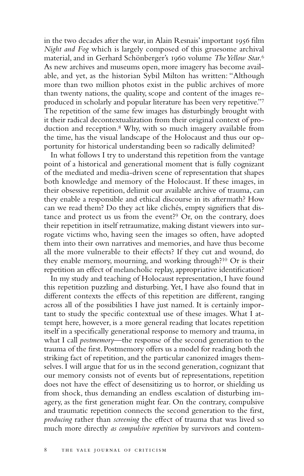in the two decades after the war, in Alain Resnais' important 1956 film *Night and Fog* which is largely composed of this gruesome archival material, and in Gerhard Schönberger's 1960 volume *The Yellow Star*.<sup>6</sup> As new archives and museums open, more imagery has become available, and yet, as the historian Sybil Milton has written: "Although more than two million photos exist in the public archives of more than twenty nations, the quality, scope and content of the images reproduced in scholarly and popular literature has been very repetitive."7 The repetition of the same few images has disturbingly brought with it their radical decontextualization from their original context of production and reception.8 Why, with so much imagery available from the time, has the visual landscape of the Holocaust and thus our opportunity for historical understanding been so radically delimited?

In what follows I try to understand this repetition from the vantage point of a historical and generational moment that is fully cognizant of the mediated and media-driven scene of representation that shapes both knowledge and memory of the Holocaust. If these images, in their obsessive repetition, delimit our available archive of trauma, can they enable a responsible and ethical discourse in its aftermath? How can we read them? Do they act like clichés, empty signifiers that distance and protect us us from the event?<sup>9</sup> Or, on the contrary, does their repetition in itself retraumatize, making distant viewers into surrogate victims who, having seen the images so often, have adopted them into their own narratives and memories, and have thus become all the more vulnerable to their effects? If they cut and wound, do they enable memory, mourning, and working through?10 Or is their repetition an effect of melancholic replay, appropriative identification?

In my study and teaching of Holocaust representation, I have found this repetition puzzling and disturbing. Yet, I have also found that in different contexts the effects of this repetition are different, ranging across all of the possibilities I have just named. It is certainly important to study the specific contextual use of these images. What I attempt here, however, is a more general reading that locates repetition itself in a specifically generational response to memory and trauma, in what I call *postmemory*—the response of the second generation to the trauma of the first. Postmemory offers us a model for reading both the striking fact of repetition, and the particular canonized images themselves. I will argue that for us in the second generation, cognizant that our memory consists not of events but of representations, repetition does not have the effect of desensitizing us to horror, or shielding us from shock, thus demanding an endless escalation of disturbing imagery, as the first generation might fear. On the contrary, compulsive and traumatic repetition connects the second generation to the first, *producing* rather than *screening* the effect of trauma that was lived so much more directly *as compulsive repetition* by survivors and contem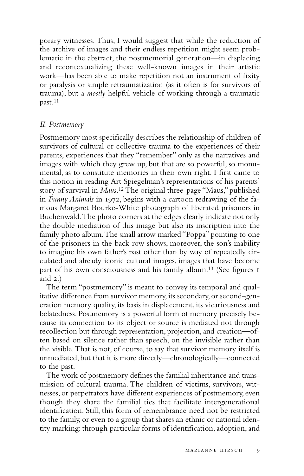porary witnesses. Thus, I would suggest that while the reduction of the archive of images and their endless repetition might seem problematic in the abstract, the postmemorial generation—in displacing and recontextualizing these well-known images in their artistic work—has been able to make repetition not an instrument of fixity or paralysis or simple retraumatization (as it often is for survivors of trauma), but a *mostly* helpful vehicle of working through a traumatic past.11

### *II. Postmemory*

Postmemory most specifically describes the relationship of children of survivors of cultural or collective trauma to the experiences of their parents, experiences that they "remember" only as the narratives and images with which they grew up, but that are so powerful, so monumental, as to constitute memories in their own right. I first came to this notion in reading Art Spiegelman's representations of his parents' story of survival in *Maus*.12 The original three-page "Maus," published in *Funny Animals* in 1972, begins with a cartoon redrawing of the famous Margaret Bourke-White photograph of liberated prisoners in Buchenwald.The photo corners at the edges clearly indicate not only the double mediation of this image but also its inscription into the family photo album. The small arrow marked "Poppa" pointing to one of the prisoners in the back row shows, moreover, the son's inability to imagine his own father's past other than by way of repeatedly circulated and already iconic cultural images, images that have become part of his own consciousness and his family album.<sup>13</sup> (See figures 1 and  $2.$ )

The term "postmemory" is meant to convey its temporal and qualitative difference from survivor memory, its secondary, or second-generation memory quality, its basis in displacement, its vicariousness and belatedness. Postmemory is a powerful form of memory precisely because its connection to its object or source is mediated not through recollection but through representation, projection, and creation—often based on silence rather than speech, on the invisible rather than the visible.That is not, of course, to say that survivor memory itself is unmediated, but that it is more directly—chronologically—connected to the past.

The work of postmemory defines the familial inheritance and transmission of cultural trauma. The children of victims, survivors, witnesses, or perpetrators have different experiences of postmemory, even though they share the familial ties that facilitate intergenerational identification. Still, this form of remembrance need not be restricted to the family, or even to a group that shares an ethnic or national identity marking: through particular forms of identification, adoption, and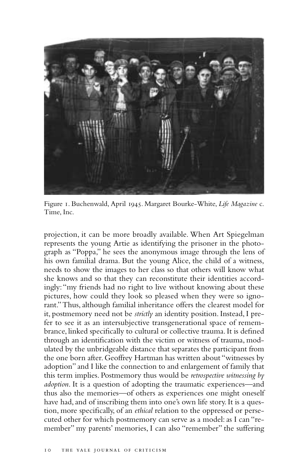

Figure . Buchenwald, April . Margaret Bourke-White, *Life Magazine* c. Time, Inc.

projection, it can be more broadly available. When Art Spiegelman represents the young Artie as identifying the prisoner in the photograph as "Poppa," he sees the anonymous image through the lens of his own familial drama. But the young Alice, the child of a witness, needs to show the images to her class so that others will know what she knows and so that they can reconstitute their identities accordingly:"my friends had no right to live without knowing about these pictures, how could they look so pleased when they were so ignorant."Thus, although familial inheritance offers the clearest model for it, postmemory need not be *strictly* an identity position. Instead, I prefer to see it as an intersubjective transgenerational space of remembrance, linked specifically to cultural or collective trauma. It is defined through an identification with the victim or witness of trauma, modulated by the unbridgeable distance that separates the participant from the one born after. Geoffrey Hartman has written about "witnesses by adoption" and I like the connection to and enlargement of family that this term implies. Postmemory thus would be *retrospective witnessing by adoption*. It is a question of adopting the traumatic experiences—and thus also the memories—of others as experiences one might oneself have had, and of inscribing them into one's own life story. It is a question, more specifically, of an *ethical* relation to the oppressed or persecuted other for which postmemory can serve as a model: as I can "remember" my parents' memories, I can also "remember" the suffering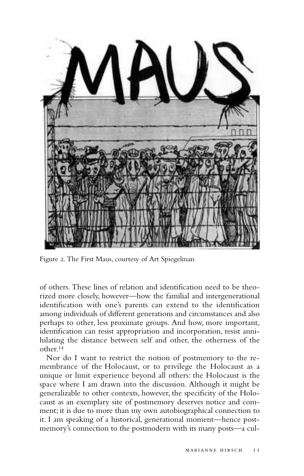

Figure 2. The First Maus, courtesy of Art Spiegelman

of others. These lines of relation and identification need to be theorized more closely, however—how the familial and intergenerational identification with one's parents can extend to the identification among individuals of different generations and circumstances and also perhaps to other, less proximate groups. And how, more important, identification can resist appropriation and incorporation, resist annihilating the distance between self and other, the otherness of the other.14

Nor do I want to restrict the notion of postmemory to the remembrance of the Holocaust, or to privilege the Holocaust as a unique or limit experience beyond all others: the Holocaust is the space where I am drawn into the discussion. Although it might be generalizable to other contexts, however, the specificity of the Holocaust as an exemplary site of postmemory deserves notice and comment; it is due to more than my own autobiographical connection to it. I am speaking of a historical, generational moment—hence postmemory's connection to the postmodern with its many posts—a cul-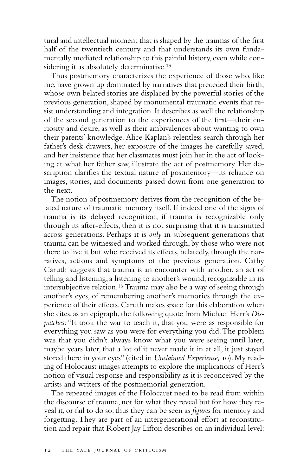tural and intellectual moment that is shaped by the traumas of the first half of the twentieth century and that understands its own fundamentally mediated relationship to this painful history, even while considering it as absolutely determinative.<sup>15</sup>

Thus postmemory characterizes the experience of those who, like me, have grown up dominated by narratives that preceded their birth, whose own belated stories are displaced by the powerful stories of the previous generation, shaped by monumental traumatic events that resist understanding and integration. It describes as well the relationship of the second generation to the experiences of the first—their curiosity and desire, as well as their ambivalences about wanting to own their parents' knowledge. Alice Kaplan's relentless search through her father's desk drawers, her exposure of the images he carefully saved, and her insistence that her classmates must join her in the act of looking at what her father saw, illustrate the act of postmemory. Her description clarifies the textual nature of postmemory—its reliance on images, stories, and documents passed down from one generation to the next.

The notion of postmemory derives from the recognition of the belated nature of traumatic memory itself. If indeed one of the signs of trauma is its delayed recognition, if trauma is recognizable only through its after-effects, then it is not surprising that it is transmitted across generations. Perhaps it is *only* in subsequent generations that trauma can be witnessed and worked through, by those who were not there to live it but who received its effects, belatedly, through the narratives, actions and symptoms of the previous generation. Cathy Caruth suggests that trauma is an encounter with another, an act of telling and listening, a listening to another's wound, recognizable in its intersubjective relation.16 Trauma may also be a way of seeing through another's eyes, of remembering another's memories through the experience of their effects. Caruth makes space for this elaboration when she cites, as an epigraph, the following quote from Michael Herr's *Dispatches*: "It took the war to teach it, that you were as responsible for everything you saw as you were for everything you did.The problem was that you didn't always know what you were seeing until later, maybe years later, that a lot of it never made it in at all, it just stayed stored there in your eyes" (cited in *Unclaimed Experience*, 10). My reading of Holocaust images attempts to explore the implications of Herr's notion of visual response and responsibility as it is reconceived by the artists and writers of the postmemorial generation.

The repeated images of the Holocaust need to be read from within the discourse of trauma, not for what they reveal but for how they reveal it, or fail to do so: thus they can be seen as *figures* for memory and forgetting. They are part of an intergenerational effort at reconstitution and repair that Robert Jay Lifton describes on an individual level: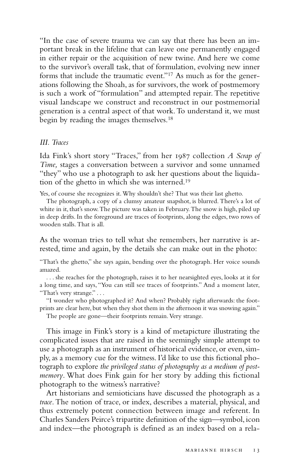"In the case of severe trauma we can say that there has been an important break in the lifeline that can leave one permanently engaged in either repair or the acquisition of new twine. And here we come to the survivor's overall task, that of formulation, evolving new inner forms that include the traumatic event."17 As much as for the generations following the Shoah, as for survivors, the work of postmemory is such a work of "formulation" and attempted repair. The repetitive visual landscape we construct and reconstruct in our postmemorial generation is a central aspect of that work. To understand it, we must begin by reading the images themselves.18

# *III. Traces*

Ida Fink's short story "Traces," from her 1987 collection *A Scrap of Time,* stages a conversation between a survivor and some unnamed "they" who use a photograph to ask her questions about the liquidation of the ghetto in which she was interned.19

Yes, of course she recognizes it. Why shouldn't she? That was their last ghetto.

The photograph, a copy of a clumsy amateur snapshot, is blurred. There's a lot of white in it, that's snow. The picture was taken in February. The snow is high, piled up in deep drifts. In the foreground are traces of footprints, along the edges, two rows of wooden stalls. That is all.

As the woman tries to tell what she remembers, her narrative is arrested, time and again, by the details she can make out in the photo:

"That's the ghetto," she says again, bending over the photograph. Her voice sounds amazed.

. . . she reaches for the photograph, raises it to her nearsighted eyes, looks at it for a long time, and says, "You can still see traces of footprints." And a moment later, "That's very strange."...

"I wonder who photographed it? And when? Probably right afterwards: the footprints are clear here, but when they shot them in the afternoon it was snowing again."

The people are gone—their footprints remain. Very strange.

This image in Fink's story is a kind of metapicture illustrating the complicated issues that are raised in the seemingly simple attempt to use a photograph as an instrument of historical evidence, or even, simply, as a memory cue for the witness. I'd like to use this fictional photograph to explore *the privileged status of photography as a medium of postmemory*. What does Fink gain for her story by adding this fictional photograph to the witness's narrative?

Art historians and semioticians have discussed the photograph as a *trace*. The notion of trace, or index, describes a material, physical, and thus extremely potent connection between image and referent. In Charles Sanders Peirce's tripartite definition of the sign—symbol, icon and index—the photograph is defined as an index based on a rela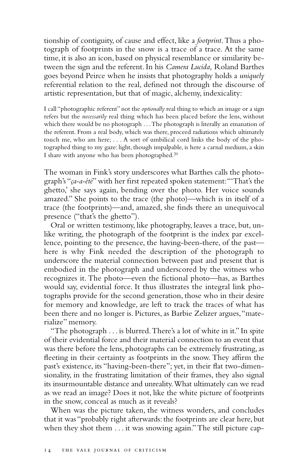tionship of contiguity, of cause and effect, like a *footprint*.Thus a photograph of footprints in the snow is a trace of a trace. At the same time, it is also an icon, based on physical resemblance or similarity between the sign and the referent. In his *Camera Lucida,* Roland Barthes goes beyond Peirce when he insists that photography holds a *uniquely* referential relation to the real, defined not through the discourse of artistic representation, but that of magic, alchemy, indexicality:

I call "photographic referent" not the *optionally* real thing to which an image or a sign refers but the *necessarily* real thing which has been placed before the lens, without which there would be no photograph . . .The photograph is literally an emanation of the referent. From a real body, which was there, proceed radiations which ultimately touch me, who am here; . . . A sort of umbilical cord links the body of the photographed thing to my gaze: light, though impalpable, is here a carnal medium, a skin I share with anyone who has been photographed.20

The woman in Fink's story underscores what Barthes calls the photograph's "*ça-a-été*" with her first repeated spoken statement:"'That's the ghetto,' she says again, bending over the photo. Her voice sounds amazed." She points to the trace (the photo)—which is in itself of a trace (the footprints)—and, amazed, she finds there an unequivocal presence ("that's the ghetto").

Oral or written testimony, like photography, leaves a trace, but, unlike writing, the photograph of the footprint is the index par excellence, pointing to the presence, the having-been-there, of the past here is why Fink needed the description of the photograph to underscore the material connection between past and present that is embodied in the photograph and underscored by the witness who recognizes it. The photo—even the fictional photo—has, as Barthes would say, evidential force. It thus illustrates the integral link photographs provide for the second generation, those who in their desire for memory and knowledge, are left to track the traces of what has been there and no longer is. Pictures, as Barbie Zelizer argues,"materialize" memory.

"The photograph . . . is blurred.There's a lot of white in it." In spite of their evidential force and their material connection to an event that was there before the lens, photographs can be extremely frustrating, as fleeting in their certainty as footprints in the snow. They affirm the past's existence, its "having-been-there"; yet, in their flat two-dimensionality, in the frustrating limitation of their frames, they also signal its insurmountable distance and unreality.What ultimately can we read as we read an image? Does it not, like the white picture of footprints in the snow, conceal as much as it reveals?

When was the picture taken, the witness wonders, and concludes that it was "probably right afterwards: the footprints are clear here, but when they shot them . . . it was snowing again."The still picture cap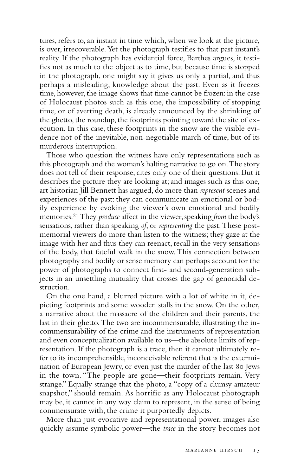tures, refers to, an instant in time which, when we look at the picture, is over, irrecoverable. Yet the photograph testifies to that past instant's reality. If the photograph has evidential force, Barthes argues, it testifies not as much to the object as to time, but because time is stopped in the photograph, one might say it gives us only a partial, and thus perhaps a misleading, knowledge about the past. Even as it freezes time, however, the image shows that time cannot be frozen: in the case of Holocaust photos such as this one, the impossibility of stopping time, or of averting death, is already announced by the shrinking of the ghetto, the roundup, the footprints pointing toward the site of execution. In this case, these footprints in the snow are the visible evidence not of the inevitable, non-negotiable march of time, but of its murderous interruption.

Those who question the witness have only representations such as this photograph and the woman's halting narrative to go on.The story does not tell of their response, cites only one of their questions. But it describes the picture they are looking at; and images such as this one, art historian Jill Bennett has argued, do more than *represent* scenes and experiences of the past: they can communicate an emotional or bodily experience by evoking the viewer's own emotional and bodily memories.21 They *produce* affect in the viewer, speaking *from* the body's sensations, rather than speaking *of*, or *representing* the past.These postmemorial viewers do more than listen to the witness; they gaze at the image with her and thus they can reenact, recall in the very sensations of the body, that fateful walk in the snow. This connection between photography and bodily or sense memory can perhaps account for the power of photographs to connect first- and second-generation subjects in an unsettling mutuality that crosses the gap of genocidal destruction.

On the one hand, a blurred picture with a lot of white in it, depicting footprints and some wooden stalls in the snow. On the other, a narrative about the massacre of the children and their parents, the last in their ghetto.The two are incommensurable, illustrating the incommensurability of the crime and the instruments of representation and even conceptualization available to us—the absolute limits of representation. If the photograph is a trace, then it cannot ultimately refer to its incomprehensible, inconceivable referent that is the extermination of European Jewry, or even just the murder of the last 80 Jews in the town. "The people are gone—their footprints remain. Very strange." Equally strange that the photo, a "copy of a clumsy amateur snapshot," should remain. As horrific as any Holocaust photograph may be, it cannot in any way claim to represent, in the sense of being commensurate with, the crime it purportedly depicts.

More than just evocative and representational power, images also quickly assume symbolic power—the *trace* in the story becomes not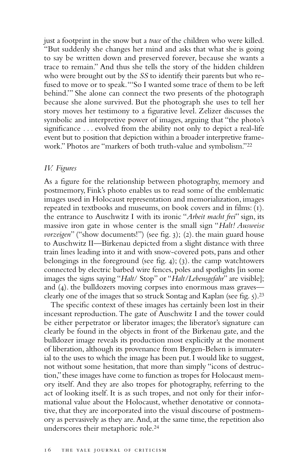just a footprint in the snow but a *trace* of the children who were killed. "But suddenly she changes her mind and asks that what she is going to say be written down and preserved forever, because she wants a trace to remain." And thus she tells the story of the hidden children who were brought out by the *SS* to identify their parents but who refused to move or to speak."'So I wanted some trace of them to be left behind.'" She alone can connect the two presents of the photograph because she alone survived. But the photograph she uses to tell her story moves her testimony to a figurative level. Zelizer discusses the symbolic and interpretive power of images, arguing that "the photo's significance . . . evolved from the ability not only to depict a real-life event but to position that depiction within a broader interpretive framework." Photos are "markers of both truth-value and symbolism."22

#### *IV. Figures*

As a figure for the relationship between photography, memory and postmemory, Fink's photo enables us to read some of the emblematic images used in Holocaust representation and memorialization, images repeated in textbooks and museums, on book covers and in films: (). the entrance to Auschwitz I with its ironic "*Arbeit macht frei*" sign, its massive iron gate in whose center is the small sign "*Halt! Ausweise vorzeigen*" ("show documents!") (see fig. 3); (2). the main guard house to Auschwitz II—Birkenau depicted from a slight distance with three train lines leading into it and with snow-covered pots, pans and other belongings in the foreground (see fig. 4); (3). the camp watch towers connected by electric barbed wire fences, poles and spotlights [in some images the signs saying "*Halt*/ Stop" or "*Halt/Lebensgefahr*" are visible]; and  $(4)$ , the bulldozers moving corpses into enormous mass graves clearly one of the images that so struck Sontag and Kaplan (see fig.  $\zeta$ ).<sup>23</sup>

The specific context of these images has certainly been lost in their incessant reproduction. The gate of Auschwitz I and the tower could be either perpetrator or liberator images; the liberator's signature can clearly be found in the objects in front of the Birkenau gate, and the bulldozer image reveals its production most explicitly at the moment of liberation, although its provenance from Bergen-Belsen is immaterial to the uses to which the image has been put. I would like to suggest, not without some hesitation, that more than simply "icons of destruction,"these images have come to function as tropes for Holocaust memory itself. And they are also tropes for photography, referring to the act of looking itself. It is as such tropes, and not only for their informational value about the Holocaust, whether denotative or connotative, that they are incorporated into the visual discourse of postmemory as pervasively as they are. And, at the same time, the repetition also underscores their metaphoric role.24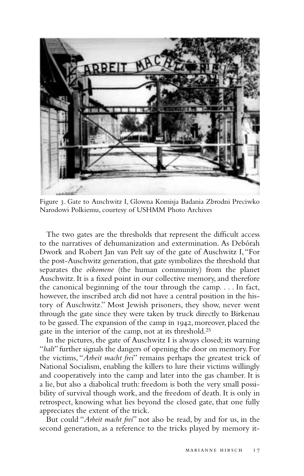

Figure 3. Gate to Auschwitz I, Glowna Komisja Badania Zbrodni Preciwko Narodowi Polkiemu, courtesy of USHMM Photo Archives

The two gates are the thresholds that represent the difficult access to the narratives of dehumanization and extermination. As Debórah Dwork and Robert Jan van Pelt say of the gate of Auschwitz I,"For the post-Auschwitz generation, that gate symbolizes the threshold that separates the *oikomene* (the human community) from the planet Auschwitz. It is a fixed point in our collective memory, and therefore the canonical beginning of the tour through the camp. . . . In fact, however, the inscribed arch did not have a central position in the history of Auschwitz." Most Jewish prisoners, they show, never went through the gate since they were taken by truck directly to Birkenau to be gassed. The expansion of the camp in 1942, moreover, placed the gate in the interior of the camp, not at its threshold.<sup>25</sup>

In the pictures, the gate of Auschwitz I is always closed; its warning "*halt*" further signals the dangers of opening the door on memory. For the victims, "*Arbeit macht frei*" remains perhaps the greatest trick of National Socialism, enabling the killers to lure their victims willingly and cooperatively into the camp and later into the gas chamber. It is a lie, but also a diabolical truth: freedom is both the very small possibility of survival though work, and the freedom of death. It is only in retrospect, knowing what lies beyond the closed gate, that one fully appreciates the extent of the trick.

But could "*Arbeit macht frei*" not also be read, by and for us, in the second generation, as a reference to the tricks played by memory it-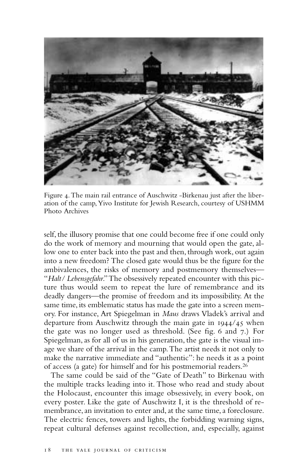

Figure 4. The main rail entrance of Auschwitz -Birkenau just after the liberation of the camp, Yivo Institute for Jewish Research, courtesy of USHMM Photo Archives

self, the illusory promise that one could become free if one could only do the work of memory and mourning that would open the gate, allow one to enter back into the past and then, through work, out again into a new freedom? The closed gate would thus be the figure for the ambivalences, the risks of memory and postmemory themselves— "*Halt/ Lebensgefahr*."The obsessively repeated encounter with this picture thus would seem to repeat the lure of remembrance and its deadly dangers—the promise of freedom and its impossibility. At the same time, its emblematic status has made the gate into a screen memory. For instance, Art Spiegelman in *Maus* draws Vladek's arrival and departure from Auschwitz through the main gate in  $1944/45$  when the gate was no longer used as threshold. (See fig.  $6$  and  $7$ .) For Spiegelman, as for all of us in his generation, the gate is the visual image we share of the arrival in the camp.The artist needs it not only to make the narrative immediate and "authentic": he needs it as a point of access (a gate) for himself and for his postmemorial readers.26

The same could be said of the "Gate of Death" to Birkenau with the multiple tracks leading into it. Those who read and study about the Holocaust, encounter this image obsessively, in every book, on every poster. Like the gate of Auschwitz I, it is the threshold of remembrance, an invitation to enter and, at the same time, a foreclosure. The electric fences, towers and lights, the forbidding warning signs, repeat cultural defenses against recollection, and, especially, against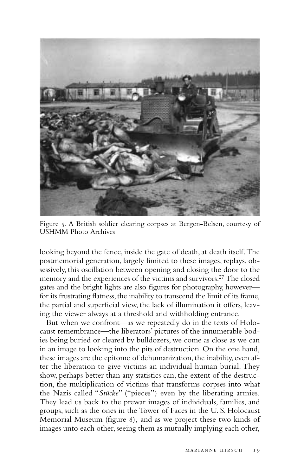

Figure 5. A British soldier clearing corpses at Bergen-Belsen, courtesy of USHMM Photo Archives

looking beyond the fence, inside the gate of death, at death itself.The postmemorial generation, largely limited to these images, replays, obsessively, this oscillation between opening and closing the door to the memory and the experiences of the victims and survivors.<sup>27</sup> The closed gates and the bright lights are also figures for photography, however for its frustrating flatness, the inability to transcend the limit of its frame, the partial and superficial view, the lack of illumination it offers, leaving the viewer always at a threshold and withholding entrance.

But when we confront—as we repeatedly do in the texts of Holocaust remembrance—the liberators' pictures of the innumerable bodies being buried or cleared by bulldozers, we come as close as we can in an image to looking into the pits of destruction. On the one hand, these images are the epitome of dehumanization, the inability, even after the liberation to give victims an individual human burial. They show, perhaps better than any statistics can, the extent of the destruction, the multiplication of victims that transforms corpses into what the Nazis called "*Stücke*" ("pieces") even by the liberating armies. They lead us back to the prewar images of individuals, families, and groups, such as the ones in the Tower of Faces in the U. S. Holocaust Memorial Museum (figure 8), and as we project these two kinds of images unto each other, seeing them as mutually implying each other,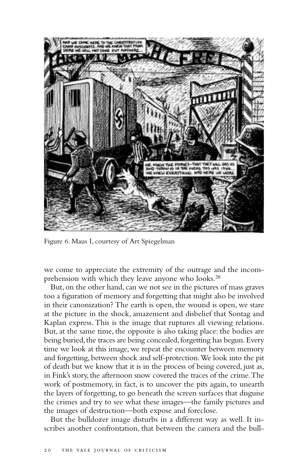

Figure 6. Maus I, courtesy of Art Spiegelman

we come to appreciate the extremity of the outrage and the incomprehension with which they leave anyone who looks.28

But, on the other hand, can we not see in the pictures of mass graves too a figuration of memory and forgetting that might also be involved in their canonization? The earth is open, the wound is open, we stare at the picture in the shock, amazement and disbelief that Sontag and Kaplan express. This is the image that ruptures all viewing relations. But, at the same time, the opposite is also taking place: the bodies are being buried, the traces are being concealed, forgetting has begun. Every time we look at this image, we repeat the encounter between memory and forgetting, between shock and self-protection.We look into the pit of death but we know that it is in the process of being covered, just as, in Fink's story, the afternoon snow covered the traces of the crime.The work of postmemory, in fact, is to uncover the pits again, to unearth the layers of forgetting, to go beneath the screen surfaces that disguise the crimes and try to see what these images—the family pictures and the images of destruction—both expose and foreclose.

But the bulldozer image disturbs in a different way as well. It inscribes another confrontation, that between the camera and the bull-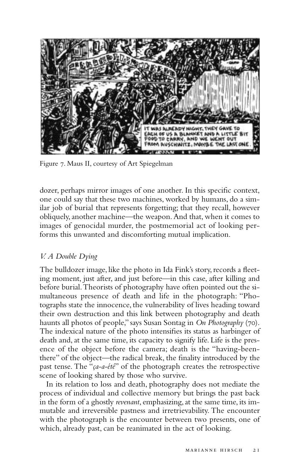

Figure 7. Maus II, courtesy of Art Spiegelman

dozer, perhaps mirror images of one another. In this specific context, one could say that these two machines, worked by humans, do a similar job of burial that represents forgetting; that they recall, however obliquely, another machine—the weapon. And that, when it comes to images of genocidal murder, the postmemorial act of looking performs this unwanted and discomforting mutual implication.

# *V. A Double Dying*

The bulldozer image, like the photo in Ida Fink's story, records a fleeting moment, just after, and just before—in this case, after killing and before burial.Theorists of photography have often pointed out the simultaneous presence of death and life in the photograph: "Photographs state the innocence, the vulnerability of lives heading toward their own destruction and this link between photography and death haunts all photos of people," says Susan Sontag in *On Photography* (70). The indexical nature of the photo intensifies its status as harbinger of death and, at the same time, its capacity to signify life. Life is the presence of the object before the camera; death is the "having-beenthere" of the object—the radical break, the finality introduced by the past tense. The "*ça-a-été*" of the photograph creates the retrospective scene of looking shared by those who survive.

In its relation to loss and death, photography does not mediate the process of individual and collective memory but brings the past back in the form of a ghostly *revenant*, emphasizing, at the same time, its immutable and irreversible pastness and irretrievability. The encounter with the photograph is the encounter between two presents, one of which, already past, can be reanimated in the act of looking.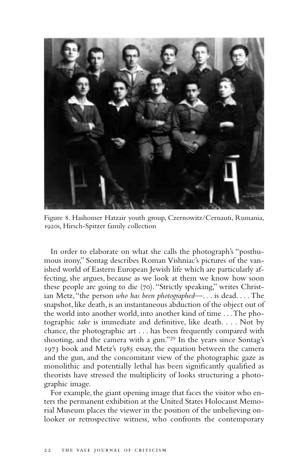

Figure 8. Hashomer Hatzair youth group, Czernowitz/Cernauti, Rumania, 1920s, Hirsch-Spitzer family collection

In order to elaborate on what she calls the photograph's "posthumous irony," Sontag describes Roman Vishniac's pictures of the vanished world of Eastern European Jewish life which are particularly affecting, she argues, because as we look at them we know how soon these people are going to die (70). "Strictly speaking," writes Christian Metz,"the person *who has been photographed*—. . . is dead. . . . The snapshot, like death, is an instantaneous abduction of the object out of the world into another world, into another kind of time . . .The photographic *take* is immediate and definitive, like death. . . . Not by chance, the photographic art . . . has been frequently compared with shooting, and the camera with a gun."29 In the years since Sontag's 1973 book and Metz's 1985 essay, the equation between the camera and the gun, and the concomitant view of the photographic gaze as monolithic and potentially lethal has been significantly qualified as theorists have stressed the multiplicity of looks structuring a photographic image.

For example, the giant opening image that faces the visitor who enters the permanent exhibition at the United States Holocaust Memorial Museum places the viewer in the position of the unbelieving onlooker or retrospective witness, who confronts the contemporary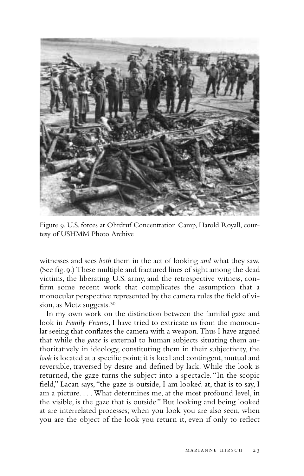

Figure 9. U.S. forces at Ohrdruf Concentration Camp, Harold Royall, courtesy of USHMM Photo Archive

witnesses and sees *both* them in the act of looking *and* what they saw. (See fig. 9.) These multiple and fractured lines of sight among the dead victims, the liberating U.S. army, and the retrospective witness, confirm some recent work that complicates the assumption that a monocular perspective represented by the camera rules the field of vision, as Metz suggests.<sup>30</sup>

In my own work on the distinction between the familial gaze and look in *Family Frames*, I have tried to extricate us from the monocular seeing that conflates the camera with a weapon.Thus I have argued that while the *gaze* is external to human subjects situating them authoritatively in ideology, constituting them in their subjectivity, the *look* is located at a specific point; it is local and contingent, mutual and reversible, traversed by desire and defined by lack. While the look is returned, the gaze turns the subject into a spectacle. "In the scopic field," Lacan says, "the gaze is outside, I am looked at, that is to say, I am a picture. . . . What determines me, at the most profound level, in the visible, is the gaze that is outside." But looking and being looked at are interrelated processes; when you look you are also seen; when you are the object of the look you return it, even if only to reflect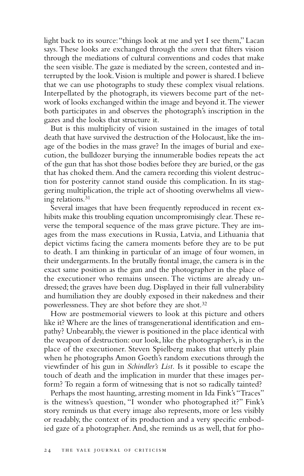light back to its source:"things look at me and yet I see them," Lacan says. These looks are exchanged through the *screen* that filters vision through the mediations of cultural conventions and codes that make the seen visible.The gaze is mediated by the screen, contested and interrupted by the look.Vision is multiple and power is shared. I believe that we can use photographs to study these complex visual relations. Interpellated by the photograph, its viewers become part of the network of looks exchanged within the image and beyond it.The viewer both participates in and observes the photograph's inscription in the gazes and the looks that structure it.

But is this multiplicity of vision sustained in the images of total death that have survived the destruction of the Holocaust, like the image of the bodies in the mass grave? In the images of burial and execution, the bulldozer burying the innumerable bodies repeats the act of the gun that has shot those bodies before they are buried, or the gas that has choked them. And the camera recording this violent destruction for posterity cannot stand ouside this complication. In its staggering multiplication, the triple act of shooting overwhelms all viewing relations.31

Several images that have been frequently reproduced in recent exhibits make this troubling equation uncompromisingly clear. These reverse the temporal sequence of the mass grave picture. They are images from the mass executions in Russia, Latvia, and Lithuania that depict victims facing the camera moments before they are to be put to death. I am thinking in particular of an image of four women, in their undergarments. In the brutally frontal image, the camera is in the exact same position as the gun and the photographer in the place of the executioner who remains unseen. The victims are already undressed; the graves have been dug. Displayed in their full vulnerability and humiliation they are doubly exposed in their nakedness and their powerlessness. They are shot before they are shot.32

How are postmemorial viewers to look at this picture and others like it? Where are the lines of transgenerational identification and empathy? Unbearably, the viewer is positioned in the place identical with the weapon of destruction: our look, like the photographer's, is in the place of the executioner. Steven Spielberg makes that utterly plain when he photographs Amon Goeth's random executions through the viewfinder of his gun in *Schindler's List.* Is it possible to escape the touch of death and the implication in murder that these images perform? To regain a form of witnessing that is not so radically tainted?

Perhaps the most haunting, arresting moment in Ida Fink's "Traces" is the witness's question, "I wonder who photographed it?" Fink's story reminds us that every image also represents, more or less visibly or readably, the context of its production and a very specific embodied gaze of a photographer. And, she reminds us as well, that for pho-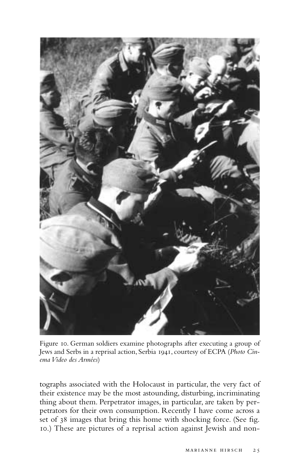

Figure 10. German soldiers examine photographs after executing a group of Jews and Serbs in a reprisal action, Serbia 1941, courtesy of ECPA (*Photo Cinema Video des Armées*)

tographs associated with the Holocaust in particular, the very fact of their existence may be the most astounding, disturbing, incriminating thing about them. Perpetrator images, in particular, are taken by perpetrators for their own consumption. Recently I have come across a set of 38 images that bring this home with shocking force. (See fig. .) These are pictures of a reprisal action against Jewish and non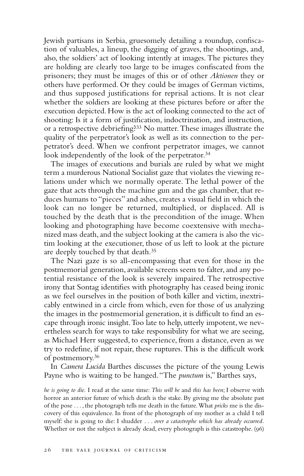Jewish partisans in Serbia, gruesomely detailing a roundup, confiscation of valuables, a lineup, the digging of graves, the shootings, and, also, the soldiers' act of looking intently at images. The pictures they are holding are clearly too large to be images confiscated from the prisoners; they must be images of this or of other *Aktionen* they or others have performed. Or they could be images of German victims, and thus supposed justifications for reprisal actions. It is not clear whether the soldiers are looking at these pictures before or after the execution depicted. How is the act of looking connected to the act of shooting: Is it a form of justification, indoctrination, and instruction, or a retrospective debriefing?33 No matter.These images illustrate the quality of the perpetrator's look as well as its connection to the perpetrator's deed. When we confront perpetrator images, we cannot look independently of the look of the perpetrator.<sup>34</sup>

The images of executions and burials are ruled by what we might term a murderous National Socialist gaze that violates the viewing relations under which we normally operate. The lethal power of the gaze that acts through the machine gun and the gas chamber, that reduces humans to "pieces" and ashes, creates a visual field in which the look can no longer be returned, multiplied, or displaced. All is touched by the death that is the precondition of the image. When looking and photographing have become coextensive with mechanized mass death, and the subject looking at the camera is also the victim looking at the executioner, those of us left to look at the picture are deeply touched by that death.35

The Nazi gaze is so all-encompassing that even for those in the postmemorial generation, available screens seem to falter, and any potential resistance of the look is severely impaired. The retrospective irony that Sontag identifies with photography has ceased being ironic as we feel ourselves in the position of both killer and victim, inextricably entwined in a circle from which, even for those of us analyzing the images in the postmemorial generation, it is difficult to find an escape through ironic insight.Too late to help, utterly impotent, we nevertheless search for ways to take responsibility for what we are seeing, as Michael Herr suggested, to experience, from a distance, even as we try to redefine, if not repair, these ruptures. This is the difficult work of postmemory.36

In *Camera Lucida* Barthes discusses the picture of the young Lewis Payne who is waiting to be hanged."The *punctum* is," Barthes says,

*he is going to die.* I read at the same time: *This will be* and *this has been*; I observe with horror an anterior future of which death is the stake. By giving me the absolute past of the pose . . . , the photograph tells me death in the future.What *pricks* me is the discovery of this equivalence. In front of the photograph of my mother as a child I tell myself: she is going to die: I shudder . . . *over a catastrophe which has already occurred.* Whether or not the subject is already dead, every photograph is this catastrophe. (96)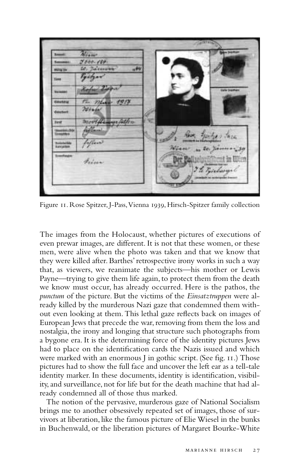Hiom 5000.189  $1913$ Frim

Figure II. Rose Spitzer, J-Pass, Vienna 1939, Hirsch-Spitzer family collection

The images from the Holocaust, whether pictures of executions of even prewar images, are different. It is not that these women, or these men, were alive when the photo was taken and that we know that they were killed after. Barthes' retrospective irony works in such a way that, as viewers, we reanimate the subjects—his mother or Lewis Payne—trying to give them life again, to protect them from the death we know must occur, has already occurred. Here is the pathos, the *punctum* of the picture. But the victims of the *Einsatztruppen* were already killed by the murderous Nazi gaze that condemned them without even looking at them. This lethal gaze reflects back on images of European Jews that precede the war, removing from them the loss and nostalgia, the irony and longing that structure such photographs from a bygone era. It is the determining force of the identity pictures Jews had to place on the identification cards the Nazis issued and which were marked with an enormous  $\overline{I}$  in gothic script. (See fig.  $\overline{II}$ .) Those pictures had to show the full face and uncover the left ear as a tell-tale identity marker. In these documents, identity is identification, visibility, and surveillance, not for life but for the death machine that had already condemned all of those thus marked.

The notion of the pervasive, murderous gaze of National Socialism brings me to another obsessively repeated set of images, those of survivors at liberation, like the famous picture of Elie Wiesel in the bunks in Buchenwald, or the liberation pictures of Margaret Bourke-White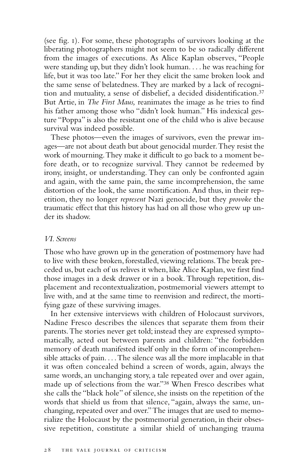(see fig. I). For some, these photographs of survivors looking at the liberating photographers might not seem to be so radically different from the images of executions. As Alice Kaplan observes, "People were standing up, but they didn't look human. . . . he was reaching for life, but it was too late." For her they elicit the same broken look and the same sense of belatedness. They are marked by a lack of recognition and mutuality, a sense of disbelief, a decided disidentification.37 But Artie, in *The First Maus,* reanimates the image as he tries to find his father among those who "didn't look human." His indexical gesture "Poppa" is also the resistant one of the child who is alive because survival was indeed possible.

These photos—even the images of survivors, even the prewar images—are not about death but about genocidal murder.They resist the work of mourning.They make it difficult to go back to a moment before death, or to recognize survival. They cannot be redeemed by irony, insight, or understanding. They can only be confronted again and again, with the same pain, the same incomprehension, the same distortion of the look, the same mortification. And thus, in their repetition, they no longer *represent* Nazi genocide, but they *provoke* the traumatic effect that this history has had on all those who grew up under its shadow.

#### *VI. Screens*

Those who have grown up in the generation of postmemory have had to live with these broken, forestalled, viewing relations.The break preceded us, but each of us relives it when, like Alice Kaplan, we first find those images in a desk drawer or in a book. Through repetition, displacement and recontextualization, postmemorial viewers attempt to live with, and at the same time to reenvision and redirect, the mortifying gaze of these surviving images.

In her extensive interviews with children of Holocaust survivors, Nadine Fresco describes the silences that separate them from their parents.The stories never get told; instead they are expressed symptomatically, acted out between parents and children: "the forbidden memory of death manifested itself only in the form of incomprehensible attacks of pain. . . .The silence was all the more implacable in that it was often concealed behind a screen of words, again, always the same words, an unchanging story, a tale repeated over and over again, made up of selections from the war."38 When Fresco describes what she calls the "black hole" of silence, she insists on the repetition of the words that shield us from that silence, "again, always the same, unchanging, repeated over and over."The images that are used to memorialize the Holocaust by the postmemorial generation, in their obsessive repetition, constitute a similar shield of unchanging trauma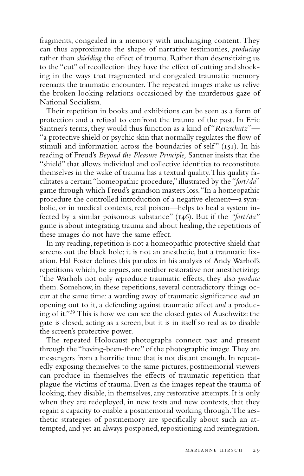fragments, congealed in a memory with unchanging content. They can thus approximate the shape of narrative testimonies, *producing* rather than *shielding* the effect of trauma. Rather than desensitizing us to the "cut" of recollection they have the effect of cutting and shocking in the ways that fragmented and congealed traumatic memory reenacts the traumatic encounter.The repeated images make us relive the broken looking relations occasioned by the murderous gaze of National Socialism.

Their repetition in books and exhibitions can be seen as a form of protection and a refusal to confront the trauma of the past. In Eric Santner's terms, they would thus function as a kind of "*Reizschutz*"— "a protective shield or psychic skin that normally regulates the flow of stimuli and information across the boundaries of self"  $(15I)$ . In his reading of Freud's *Beyond the Pleasure Principle,* Santner insists that the "shield" that allows individual and collective identities to reconstitute themselves in the wake of trauma has a textual quality.This quality facilitates a certain "homeopathic procedure," illustrated by the "*fort/da*" game through which Freud's grandson masters loss."In a homeopathic procedure the controlled introduction of a negative element—a symbolic, or in medical contexts, real poison—helps to heal a system infected by a similar poisonous substance" (146). But if the *"fort/da"* game is about integrating trauma and about healing, the repetitions of these images do not have the same effect.

In my reading, repetition is not a homeopathic protective shield that screens out the black hole; it is not an anesthetic, but a traumatic fixation. Hal Foster defines this paradox in his analysis of Andy Warhol's repetitions which, he argues, are neither restorative nor anesthetizing: "the Warhols not only *re*produce traumatic effects, they also *produce* them. Somehow, in these repetitions, several contradictory things occur at the same time: a warding away of traumatic significance *and* an opening out to it, a defending against traumatic affect *and* a producing of it."39 This is how we can see the closed gates of Auschwitz: the gate is closed, acting as a screen, but it is in itself so real as to disable the screen's protective power.

The repeated Holocaust photographs connect past and present through the "having-been-there" of the photographic image.They are messengers from a horrific time that is not distant enough. In repeatedly exposing themselves to the same pictures, postmemorial viewers can produce in themselves the effects of traumatic repetition that plague the victims of trauma. Even as the images repeat the trauma of looking, they disable, in themselves, any restorative attempts. It is only when they are redeployed, in new texts and new contexts, that they regain a capacity to enable a postmemorial working through.The aesthetic strategies of postmemory are specifically about such an attempted, and yet an always postponed, repositioning and reintegration.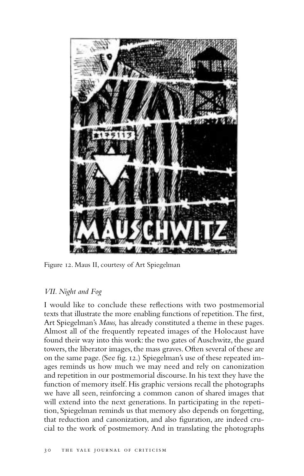

Figure 12. Maus II, courtesy of Art Spiegelman

# *VII. Night and Fog*

I would like to conclude these reflections with two postmemorial texts that illustrate the more enabling functions of repetition.The first, Art Spiegelman's *Maus,* has already constituted a theme in these pages. Almost all of the frequently repeated images of the Holocaust have found their way into this work: the two gates of Auschwitz, the guard towers, the liberator images, the mass graves. Often several of these are on the same page. (See fig. 12.) Spiegelman's use of these repeated images reminds us how much we may need and rely on canonization and repetition in our postmemorial discourse. In his text they have the function of memory itself. His graphic versions recall the photographs we have all seen, reinforcing a common canon of shared images that will extend into the next generations. In participating in the repetition, Spiegelman reminds us that memory also depends on forgetting, that reduction and canonization, and also figuration, are indeed crucial to the work of postmemory. And in translating the photographs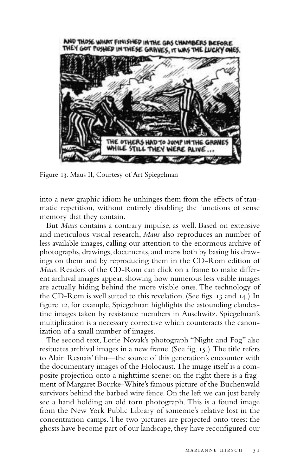

Figure 13. Maus II, Courtesy of Art Spiegelman

into a new graphic idiom he unhinges them from the effects of traumatic repetition, without entirely disabling the functions of sense memory that they contain.

But *Maus* contains a contrary impulse, as well. Based on extensive and meticulous visual research, *Maus* also reproduces an number of less available images, calling our attention to the enormous archive of photographs, drawings, documents, and maps both by basing his drawings on them and by reproducing them in the CD-Rom edition of *Maus*. Readers of the CD-Rom can click on a frame to make different archival images appear, showing how numerous less visible images are actually hiding behind the more visible ones. The technology of the CD-Rom is well suited to this revelation. (See figs.  $13$  and  $14$ .) In figure 12, for example, Spiegelman highlights the astounding clandestine images taken by resistance members in Auschwitz. Spiegelman's multiplication is a necessary corrective which counteracts the canonization of a small number of images.

The second text, Lorie Novak's photograph "Night and Fog" also resituates archival images in a new frame. (See fig. 15.) The title refers to Alain Resnais' film—the source of this generation's encounter with the documentary images of the Holocaust.The image itself is a composite projection onto a nighttime scene: on the right there is a fragment of Margaret Bourke-White's famous picture of the Buchenwald survivors behind the barbed wire fence. On the left we can just barely see a hand holding an old torn photograph. This is a found image from the New York Public Library of someone's relative lost in the concentration camps. The two pictures are projected onto trees: the ghosts have become part of our landscape, they have reconfigured our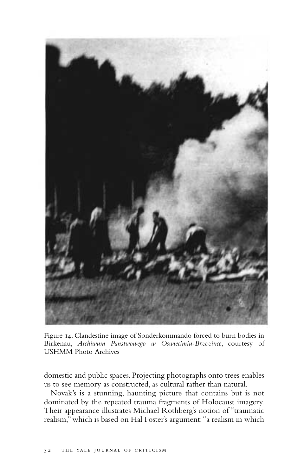

Figure 14. Clandestine image of Sonderkommando forced to burn bodies in Birkenau, *Archiwum Panstwowego w Oswiecimiu-Brzezince*, courtesy of USHMM Photo Archives

domestic and public spaces. Projecting photographs onto trees enables us to see memory as constructed, as cultural rather than natural.

Novak's is a stunning, haunting picture that contains but is not dominated by the repeated trauma fragments of Holocaust imagery. Their appearance illustrates Michael Rothberg's notion of "traumatic realism," which is based on Hal Foster's argument:"a realism in which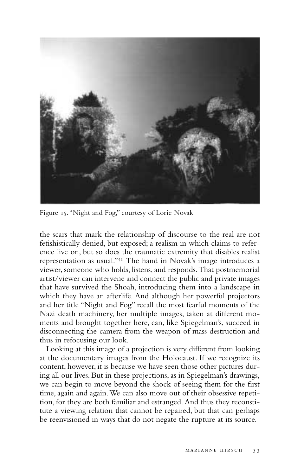

Figure 15. "Night and Fog," courtesy of Lorie Novak

the scars that mark the relationship of discourse to the real are not fetishistically denied, but exposed; a realism in which claims to reference live on, but so does the traumatic extremity that disables realist representation as usual."40 The hand in Novak's image introduces a viewer, someone who holds, listens, and responds.That postmemorial artist/viewer can intervene and connect the public and private images that have survived the Shoah, introducing them into a landscape in which they have an afterlife. And although her powerful projectors and her title "Night and Fog" recall the most fearful moments of the Nazi death machinery, her multiple images, taken at different moments and brought together here, can, like Spiegelman's, succeed in disconnecting the camera from the weapon of mass destruction and thus in refocusing our look.

Looking at this image of a projection is very different from looking at the documentary images from the Holocaust. If we recognize its content, however, it is because we have seen those other pictures during all our lives. But in these projections, as in Spiegelman's drawings, we can begin to move beyond the shock of seeing them for the first time, again and again.We can also move out of their obsessive repetition, for they are both familiar and estranged. And thus they reconstitute a viewing relation that cannot be repaired, but that can perhaps be reenvisioned in ways that do not negate the rupture at its source.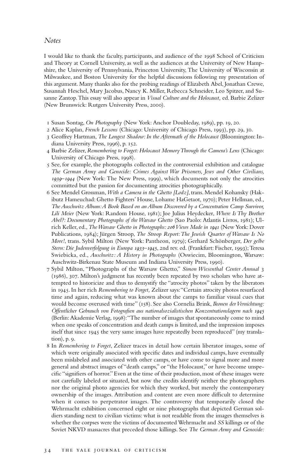#### *Notes*

I would like to thank the faculty, participants, and audience of the 1998 School of Criticism and Theory at Cornell University, as well as the audiences at the University of New Hampshire, the University of Pennsylvania, Princeton University, The University of Wisconsin at Milwaukee, and Boston University for the helpful discussions following my presentation of this argument. Many thanks also for the probing readings of Elizabeth Abel, Jonathan Crewe, Susannah Heschel, Mary Jacobus, Nancy K. Miller, Rebecca Schneider, Leo Spitzer, and Susanne Zantop.This essay will also appear in *Visual Culture and the Holocaust,* ed. Barbie Zelizer (New Brunswick: Rutgers University Press, 2000).

- I Susan Sontag, *On Photography* (New York: Anchor Doubleday, 1989), pp. 19, 20.
- 2 Alice Kaplan, *French Lessons* (Chicago: University of Chicago Press, 1993), pp. 29, 30.
- Geoffrey Hartman, *The Longest Shadow: In the Aftermath of the Holocaust* (Bloomington: Indiana University Press, 1996), p. 152.
- Barbie Zelizer,*Remembering to Forget: Holocaust Memory Through the Camera's Lens* (Chicago: University of Chicago Press, 1998).
- See, for example, the photographs collected in the controversial exhibition and catalogue *The German Army and Genocide: Crimes Against War Prisoners, Jews and Other Civilians,* 1939–1944 (New York: The New Press, 1999), which documents not only the atrocities committed but the passion for documenting atrocities photographically.
- See Mendel Grossman,*With a Camera in the Ghetto [Lodz]*, trans. Mendel Kohansky (Hakibutz Hameuchad: Ghetto Fighters' House, Lohame HaGetaot, 1970); Peter Hellman, ed., *The Auschwitz Album:A Book Based on an Album Discovered by a Concentration Camp Survivor, Lili Meier* (New York: Random House, ); Joe Julius Heydecker, *Where Is Thy Brother Abel?: Documentary Photographs of the Warsaw Ghetto* (Sao Paolo: Atlantis Livros, 1981); Ulrich Keller, ed.,*The Warsaw Ghetto in Photographs: 206Views Made in 1941* (New York: Dover Publications, 1984); Jürgen Stroop, *The Stroop Report: The Jewish Quarter of Warsaw Is No More!*, trans. Sybil Milton (New York: Pantheon, ); Gerhard Schönberger, *Der gelbe* Stern: Die Judenverfolgung in Europa 1933–1945, 2nd rev. ed. (Frankfurt: Fischer, 1993); Teresa Swiebicka, ed., *Auschwitz: A History in Photographs* (Oswiecim, Bloomington, Warsaw: Auschwitz-Birkenau State Museum and Indiana University Press, 1990).
- Sybil Milton, "Photographs of the Warsaw Ghetto," *Simon Wiesenthal Center Annual* (1986), 307. Milton's judgment has recently been repeated by two scholars who have attempted to historicize and thus to demystify the "atrocity photos" taken by the liberators in . In her rich *Remembering to Forget,* Zelizer says:"Certain atrocity photos resurfaced time and again, reducing what was known about the camps to familiar visual cues that would become overused with time" (158). See also Cornelia Brink, *Ikonen der Vernichtung: Öffentlicher Gebrauch von Fotografien aus nationalsozialistischen Konzentrationslagern nach 1945* (Berlin: Akademie Verlag, 1998): "The number of images that spontaneously come to mind when one speaks of concentration and death camps is limited, and the impression imposes itself that since 1945 the very same images have repeatedly been reproduced" (my translation), p. 9.
- In *Remembering to Forget*, Zelizer traces in detail how certain liberator images, some of which were originally associated with specific dates and individual camps, have eventually been mislabeled and associated with other camps, or have come to signal more and more general and abstract images of "death camps," or "the Holocaust," or have become unspecific "signifiers of horror." Even at the time of their production, most of these images were not carefully labeled or situated, but now the credits identify neither the photographers nor the original photo agencies for which they worked, but merely the contemporary ownership of the images. Attribution and content are even more difficult to determine when it comes to perpetrator images. The controversy that temporarily closed the Wehrmacht exhibition concerned eight or nine photographs that depicted German soldiers standing next to civilian victims: what is not readable from the images themselves is whether the corpses were the victims of documented Wehrmacht and *SS* killings or of the Soviet NKVD massacres that preceded those killings. See *The German Army and Genocide:*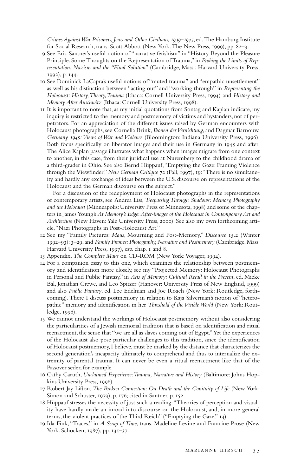*Crimes Against War Prisoners, Jews and Other Civilians, 1939–1945*, ed.The Hamburg Institute for Social Research, trans. Scott Abbott (New York: The New Press, 1999), pp. 82-3.

- See Eric Santner's useful notion of "narrative fetishism" in "History Beyond the Pleasure Principle: Some Thoughts on the Representation of Trauma," in *Probing the Limits of Representation: Nazism and the "Final Solution*" (Cambridge, Mass.: Harvard University Press, 1992), p. 144.
- IO See Dominick LaCapra's useful notions of "muted trauma" and "empathic unsettlement" as well as his distinction between "acting out" and "working through" in *Representing the Holocaust: History,Theory,Trauma* (Ithaca: Cornell University Press, ) and *History and Memory After Auschwitz* (Ithaca: Cornell University Press, 1998).
- It is important to note that, as my initial quotations from Sontag and Kaplan indicate, my inquiry is restricted to the memory and postmemory of victims and bystanders, not of perpetrators. For an appreciation of the different issues raised by German encounters with Holocaust photographs, see Cornelia Brink, *Ikonen der Vernichtung*, and Dagmar Barnouw, *Germany 1945: Views of War and Violence* (Bloomington: Indiana University Press, 1996). Both focus specifically on liberator images and their use in Germany in 1945 and after. The Alice Kaplan passage illustrates what happens when images migrate from one context to another, in this case, from their juridical use at Nuremberg to the childhood drama of a third-grader in Ohio. See also Bernd Hüppauf,"Emptying the Gaze: Framing Violence through the Viewfinder," *New German Critique* 72 (Fall, 1997), 19: "There is no simultaneity and hardly any exchange of ideas between the U.S. discourse on representations of the Holocaust and the German discourse on the subject."

For a discussion of the redeployment of Holocaust photographs in the representations of contemporary artists, see Andrea Liss, *Trespassing Through Shadows: Memory, Photography and the Holocaust* (Minneapolis: University Press of Minnesota, 1998) and some of the chapters in James Young's *At Memory's Edge*:*After-images of the Holocaust in Contemporary Art and Architecture* (New Haven: Yale University Press, 2000). See also my own forthcoming article,"Nazi Photographs in Post-Holocaust Art."

- 12 See my "Family Pictures: *Maus*, Mourning and Post-Memory," *Discourse* 15.2 (Winter –): –, and *Family Frames: Photography, Narrative and Postmemory* (Cambridge, Mass: Harvard University Press, 1997), esp. chap. I and 8.
- 13 Appendix, *The Complete Maus* on CD-ROM (New York: Voyager, 1994).
- For a companion essay to this one, which examines the relationship between postmemory and identification more closely, see my "Projected Memory: Holocaust Photographs in Personal and Public Fantasy," in *Acts of Memory: Cultural Recall in the Present*, ed. Mieke Bal, Jonathan Crewe, and Leo Spitzer (Hanover: University Press of New England, 1999) and also *Public Fantasy*, ed. Lee Edelman and Joe Roach (New York: Routledge, forthcoming). There I discuss postmemory in relation to Kaja Silverman's notion of "heteropathic" memory and identification in her *Threshold of the Visible World* (New York: Routledge, 1996).
- We cannot understand the workings of Holocaust postmemory without also considering the particularities of a Jewish memorial tradition that is based on identification and ritual reenactment, the sense that "we are all as slaves coming out of Egypt."Yet the experiences of the Holocaust also pose particular challenges to this tradition, since the identification of Holocaust postmemory, I believe, must be marked by the distance that characterizes the second generation's incapacity ultimately to comprehend and thus to internalize the extremity of parental trauma. It can never be even a ritual reenactment like that of the Passover seder, for example.
- Cathy Caruth, *Unclaimed Experience:Trauma, Narrative and History* (Baltimore: Johns Hopkins University Press, 1996).
- Robert Jay Lifton, *The Broken Connection: On Death and the Conituity of Life* (New York: Simon and Schuster, 1979), p. 176; cited in Santner, p. 152.
- 18 Hüppauf stresses the necessity of just such a reading: "Theories of perception and visuality have hardly made an inroad into discourse on the Holocaust, and, in more general terms, the violent practices of the Third Reich" ("Emptying the Gaze," 14).
- Ida Fink, "Traces," in *A Scrap of Time*, trans. Madeline Levine and Francine Prose (New York: Schocken, 1987), pp. 135-37.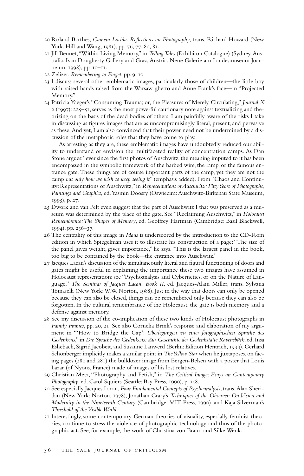- Roland Barthes, *Camera Lucida: Reflections on Photography*, trans. Richard Howard (New York: Hill and Wang, 1981), pp. 76, 77, 80, 81.
- Jill Bennet,"Within Living Memory," in *Telling Tales* (Exhibiton Catalogue) (Sydney, Australia: Ivan Dougherty Gallery and Graz, Austria: Neue Galerie am Landesmuseum Joanneum, 1998), pp. 10-11.
- 22 Zelizer, *Remembering to Forget*, pp. 9, 10.
- I discuss several other emblematic images, particularly those of children—the little boy with raised hands raised from the Warsaw ghetto and Anne Frank's face—in "Projected Memory."
- Patricia Yaeger's "Consuming Trauma; or, the Pleasures of Merely Circulating," *Journal X*  $(1997): 225 - 51$ , serves as the most powerful cautionary note against textualizing and theorizing on the basis of the dead bodies of others. I am painfully aware of the risks I take in discussing as figures images that are as uncompromisingly literal, present, and pervasive as these. And yet, I am also convinced that their power need not be undermined by a discussion of the metaphoric roles that they have come to play.

As arresting as they are, these emblematic images have undoubtedly reduced our ability to understand or envision the multifaceted reality of concentration camps. As Dan Stone argues:"ever since the first photos of Auschwitz, the meaning imputed to it has been encompassed in the symbolic framework of the barbed wire, the ramp, or the famous entrance gate. These things are of course important parts of the camp, yet they are not the camp *but only how we wish to keep seeing it*" (emphasis added). From "Chaos and Continuity: Representations of Auschwitz," in *Representations of Auschwitz: Fifty Years of Photographs, Paintings and Graphics,* ed.Yasmin Doosry (Oswiecim: Auschwitz-Birkenau State Museum, 1995), p. 27.

- Dwork and van Pelt even suggest that the part of Auschwitz I that was preserved as a museum was determined by the place of the gate. See "Reclaiming Auschwitz," in *Holocaust Remembrance:The Shapes of Memory*, ed. Geoffrey Hartman (Cambridge: Basil Blackwell, 1994), pp. 236-37.
- The centrality of this image in *Maus* is underscored by the introduction to the CD-Rom edition in which Spiegelman uses it to illustrate his construction of a page:"The size of the panel gives weight, gives importance," he says."This is the largest panel in the book, too big to be contained by the book—the entrance into Auschwitz."
- Jacques Lacan's discussion of the simultaneously literal and figural functioning of doors and gates might be useful in explaining the importance these two images have assumed in Holocaust representation: see "Psychoanalysis and Cybernetics, or on the Nature of Language," *The Seminar of Jacques Lacan*, *Book II*, ed. Jacques-Alain Miller, trans. Sylvana Tomaselli (New York: W.W. Norton, 1988). Just in the way that doors can only be opened because they can also be closed, things can be remembered only because they can also be forgotten. In the cultural remembrance of the Holocaust, the gate is both memory and a defense against memory.
- 28 See my discussion of the co-implication of these two kinds of Holocaust photographs in *Family Frames*, pp. 20, 21. See also Cornelia Brink's response and elaboration of my argument in "'How to Bridge the Gap': *Überlegungen zu einer fotographischen Sprache des Gedenkens*," in *Die Sprache des Gedenkens: Zur Geschichte der Gedenkstätte Ravensbück*, ed. Insa Eshebach, Sigrid Jacobeit, and Susanne Lanwerd (Berlin: Edition Hentrich, 1999). Gerhard Schönberger implicitly makes a similar point in *The Yellow Star* when he juxtaposes, on facing pages (280 and 281) the bulldozer image from Bergen-Belsen with a poster that Louis Lazar (of Nyons, France) made of images of his lost relatives.
- Christian Metz, "Photography and Fetish," in *The Critical Image: Esays on Contemporary* Photography, ed. Carol Squiers (Seattle: Bay Press, 1990), p. 158.
- See especially Jacques Lacan, *Four Fundamental Concepts of Psychoanalysis*, trans. Alan Sheridan (New York: Norton, 1978), Jonathan Crary's *Techniques of the Observer: On Vision and Modernity in the Nineteenth Century* (Cambridge: MIT Press, 1990), and Kaja Silverman's *Threshold of the Visible World.*
- Interestingly, some contemporary German theories of visuality, especially feminist theories, continue to stress the violence of photographic technology and thus of the photographic act. See, for example, the work of Christina von Braun and Silke Wenk.